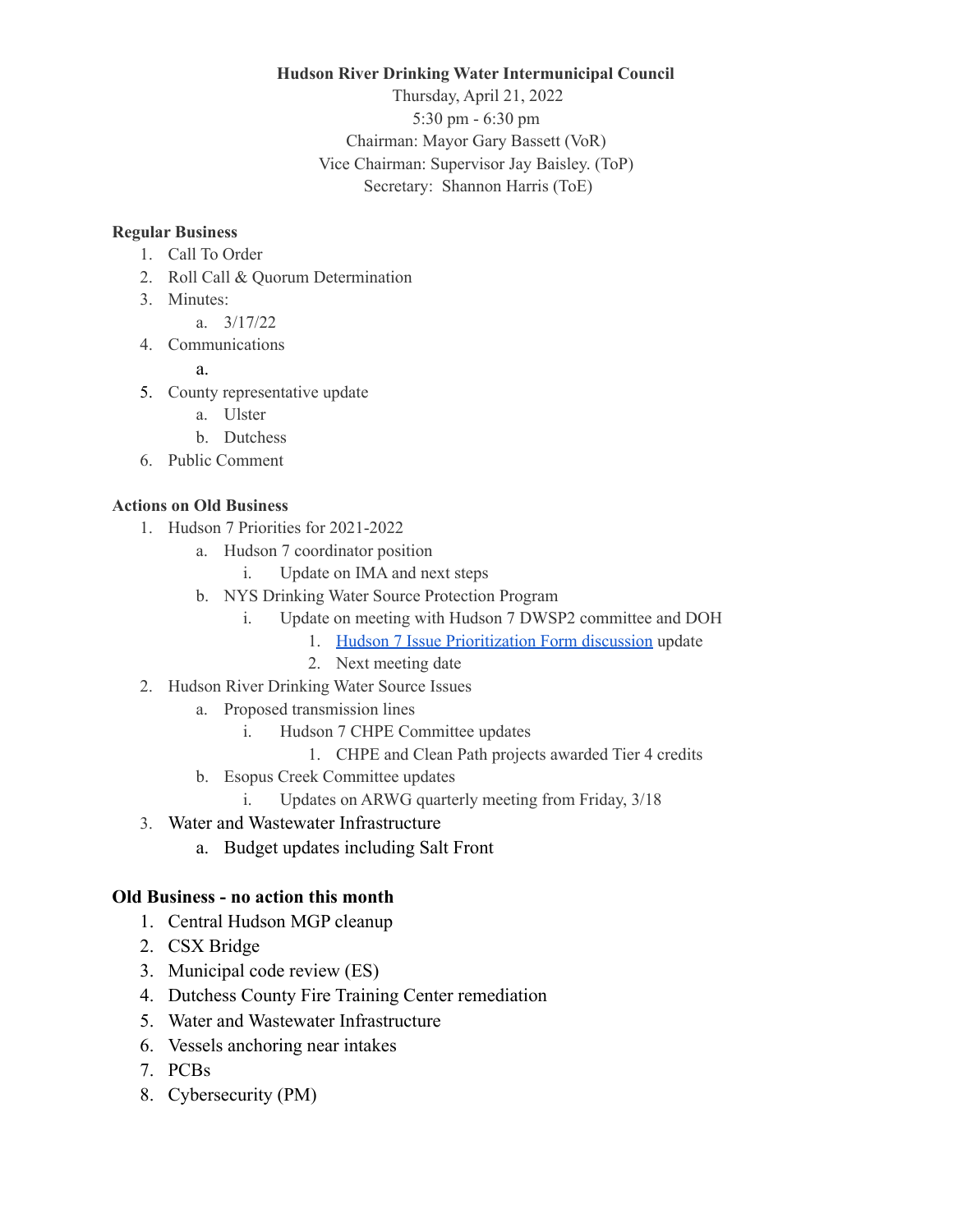**Hudson River Drinking Water Intermunicipal Council**

Thursday, April 21, 2022 5:30 pm - 6:30 pm Chairman: Mayor Gary Bassett (VoR) Vice Chairman: Supervisor Jay Baisley. (ToP) Secretary: Shannon Harris (ToE)

## **Regular Business**

- 1. Call To Order
- 2. Roll Call & Quorum Determination
- 3. Minutes:
	- a. 3/17/22
- 4. Communications
	- a.
- 5. County representative update
	- a. Ulster
	- b. Dutchess
- 6. Public Comment

## **Actions on Old Business**

- 1. Hudson 7 Priorities for 2021-2022
	- a. Hudson 7 coordinator position
		- i. Update on IMA and next steps
	- b. NYS Drinking Water Source Protection Program
		- i. Update on meeting with Hudson 7 DWSP2 committee and DOH
			- 1. Hudson 7 Issue [Prioritization](https://docs.google.com/forms/d/e/1FAIpQLScKACHhH30Y9QoTyRAipGV8WNhDyxLee6Q2_T-SsLe2OJBQ6Q/viewform) Form discussion update
			- 2. Next meeting date
- 2. Hudson River Drinking Water Source Issues
	- a. Proposed transmission lines
		- i. Hudson 7 CHPE Committee updates
			- 1. CHPE and Clean Path projects awarded Tier 4 credits
	- b. Esopus Creek Committee updates
		- i. Updates on ARWG quarterly meeting from Friday, 3/18
- 3. Water and Wastewater Infrastructure
	- a. Budget updates including Salt Front

## **Old Business - no action this month**

- 1. Central Hudson MGP cleanup
- 2. CSX Bridge
- 3. Municipal code review (ES)
- 4. Dutchess County Fire Training Center remediation
- 5. Water and Wastewater Infrastructure
- 6. Vessels anchoring near intakes
- 7. PCBs
- 8. Cybersecurity (PM)